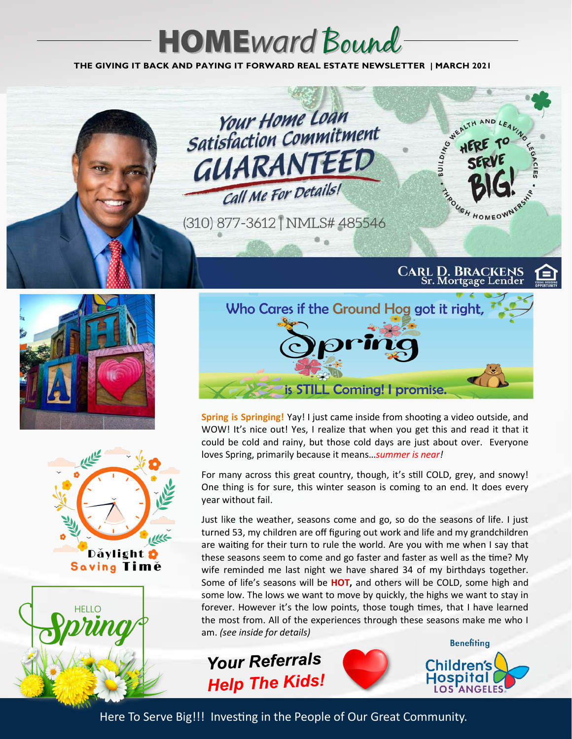# **HOME**ward Bound

**THE GIVING IT BACK AND PAYING IT FORWARD REAL ESTATE NEWSLETTER | MARCH 2021**











**Spring is Springing!** Yay! I just came inside from shooting a video outside, and WOW! It's nice out! Yes, I realize that when you get this and read it that it could be cold and rainy, but those cold days are just about over. Everyone loves Spring, primarily because it means…*summer is near!* 

For many across this great country, though, it's still COLD, grey, and snowy! One thing is for sure, this winter season is coming to an end. It does every year without fail.

Just like the weather, seasons come and go, so do the seasons of life. I just turned 53, my children are off figuring out work and life and my grandchildren are waiting for their turn to rule the world. Are you with me when I say that these seasons seem to come and go faster and faster as well as the time? My wife reminded me last night we have shared 34 of my birthdays together. Some of life's seasons will be **HOT,** and others will be COLD, some high and some low. The lows we want to move by quickly, the highs we want to stay in forever. However it's the low points, those tough times, that I have learned the most from. All of the experiences through these seasons make me who I am. *(see inside for details)*

**Your Referrals Help The Kids!** 



Here To Serve Big!!! Investing in the People of Our Great Community.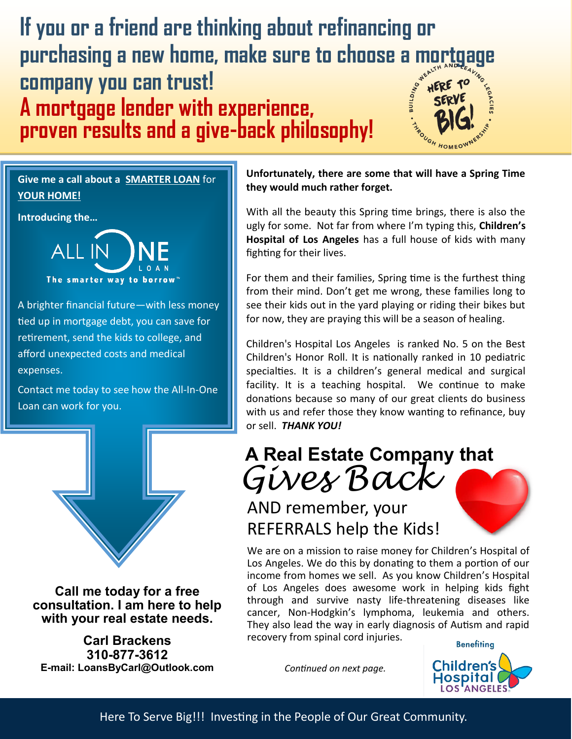

**Give me a call about a SMARTER LOAN** for **YOUR HOME!**

**Introducing the…**



A brighter financial future—with less money tied up in mortgage debt, you can save for retirement, send the kids to college, and afford unexpected costs and medical expenses.

Contact me today to see how the All-In-One Loan can work for you.



**Call me today for a free consultation. I am here to help with your real estate needs.**

**Carl Brackens 310-877-3612 E-mail: LoansByCarl@Outlook.com** **Unfortunately, there are some that will have a Spring Time they would much rather forget.** 

With all the beauty this Spring time brings, there is also the ugly for some. Not far from where I'm typing this, **Children's Hospital of Los Angeles** has a full house of kids with many fighting for their lives.

For them and their families, Spring time is the furthest thing from their mind. Don't get me wrong, these families long to see their kids out in the yard playing or riding their bikes but for now, they are praying this will be a season of healing.

Children's Hospital Los Angeles is ranked No. 5 on the Best Children's Honor Roll. It is nationally ranked in 10 pediatric specialties. It is a children's general medical and surgical facility. It is a teaching hospital. We continue to make donations because so many of our great clients do business with us and refer those they know wanting to refinance, buy or sell. *THANK YOU!* 

*Gives Back* **A Real Estate Company that** 

## AND remember, your REFERRALS help the Kids!

We are on a mission to raise money for Children's Hospital of Los Angeles. We do this by donating to them a portion of our income from homes we sell. As you know Children's Hospital of Los Angeles does awesome work in helping kids fight through and survive nasty life-threatening diseases like cancer, Non-Hodgkin's lymphoma, leukemia and others. They also lead the way in early diagnosis of Autism and rapid recovery from spinal cord injuries.

*Continued on next page.* 

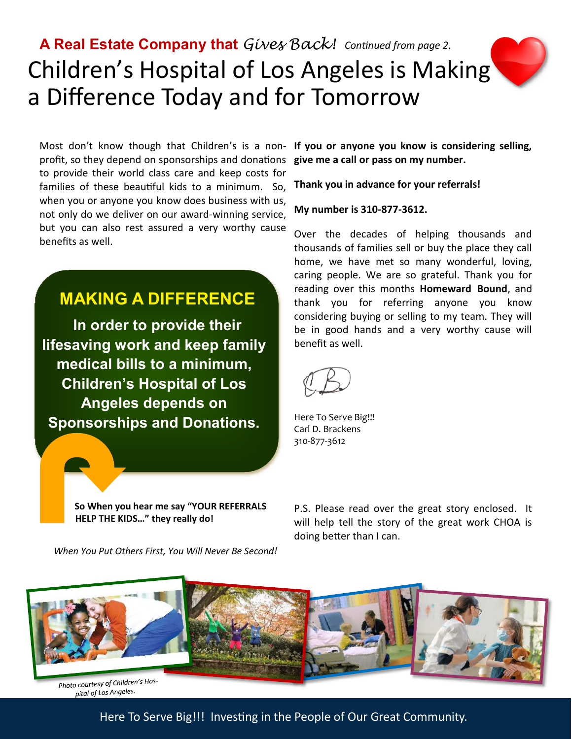# Children's Hospital of Los Angeles is Making a Difference Today and for Tomorrow **A Real Estate Company that** *Gives Back! Continued from page 2.*

Most don't know though that Children's is a non- If you or anyone you know is considering selling, profit, so they depend on sponsorships and donations to provide their world class care and keep costs for families of these beautiful kids to a minimum. So, when you or anyone you know does business with us, not only do we deliver on our award-winning service, but you can also rest assured a very worthy cause benefits as well.

### **MAKING A DIFFERENCE**

**In order to provide their lifesaving work and keep family medical bills to a minimum, Children's Hospital of Los Angeles depends on Sponsorships and Donations.**

> **So When you hear me say "YOUR REFERRALS HELP THE KIDS…" they really do!**

*When You Put Others First, You Will Never Be Second!*

**give me a call or pass on my number.** 

**Thank you in advance for your referrals!**

#### **My number is 310-877-3612.**

Over the decades of helping thousands and thousands of families sell or buy the place they call home, we have met so many wonderful, loving, caring people. We are so grateful. Thank you for reading over this months **Homeward Bound**, and thank you for referring anyone you know considering buying or selling to my team. They will be in good hands and a very worthy cause will benefit as well.

Here To Serve Big!!! Carl D. Brackens 310-877-3612

P.S. Please read over the great story enclosed. It will help tell the story of the great work CHOA is doing better than I can.



Here To Serve Big!!! Investing in the People of Our Great Community.